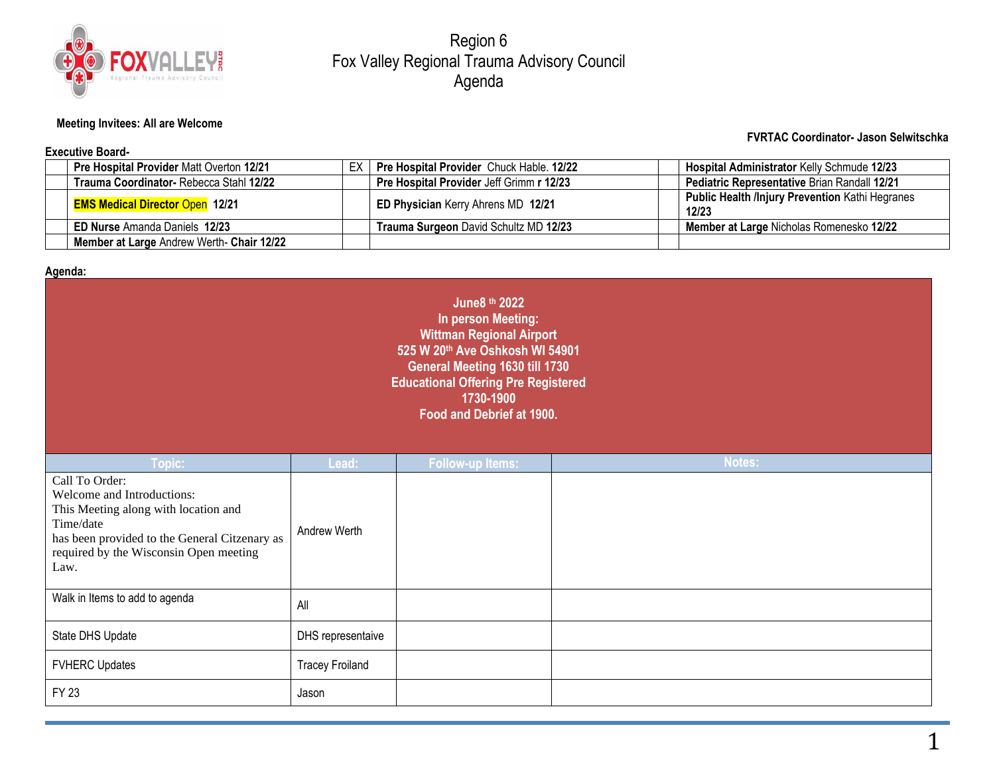

Region 6 Fox Valley Regional Trauma Advisory Council Agenda

## **Meeting Invitees: All are Welcome**

#### **Executive Board-**

### **FVRTAC Coordinator- Jason Selwitschka**

|  | <b>Pre Hospital Provider Matt Overton 12/21</b> | ЕX | <b>Pre Hospital Provider Chuck Hable. 12/22</b> |  | Hospital Administrator Kelly Schmude 12/23                      |  |  |  |
|--|-------------------------------------------------|----|-------------------------------------------------|--|-----------------------------------------------------------------|--|--|--|
|  | Trauma Coordinator- Rebecca Stahl 12/22         |    | <b>Pre Hospital Provider Jeff Grimm r 12/23</b> |  | <b>Pediatric Representative Brian Randall 12/21</b>             |  |  |  |
|  | <b>EMS Medical Director Open 12/21</b>          |    | ED Physician Kerry Ahrens MD 12/21              |  | <b>Public Health /Injury Prevention Kathi Hegranes</b><br>12/23 |  |  |  |
|  | <b>ED Nurse Amanda Daniels 12/23</b>            |    | Trauma Surgeon David Schultz MD 12/23           |  | Member at Large Nicholas Romenesko 12/22                        |  |  |  |
|  | Member at Large Andrew Werth- Chair 12/22       |    |                                                 |  |                                                                 |  |  |  |

## **Agenda:**

| June8 th 2022<br>In person Meeting:<br><b>Wittman Regional Airport</b><br>525 W 20th Ave Oshkosh WI 54901<br>General Meeting 1630 till 1730<br><b>Educational Offering Pre Registered</b><br>1730-1900<br>Food and Debrief at 1900. |                        |                         |        |  |  |  |  |
|-------------------------------------------------------------------------------------------------------------------------------------------------------------------------------------------------------------------------------------|------------------------|-------------------------|--------|--|--|--|--|
| Topic:                                                                                                                                                                                                                              | Lead:                  | <b>Follow-up Items:</b> | Notes: |  |  |  |  |
| Call To Order:<br>Welcome and Introductions:<br>This Meeting along with location and<br>Time/date<br>has been provided to the General Citzenary as<br>required by the Wisconsin Open meeting<br>Law.                                | Andrew Werth           |                         |        |  |  |  |  |
| Walk in Items to add to agenda                                                                                                                                                                                                      | All                    |                         |        |  |  |  |  |
| State DHS Update                                                                                                                                                                                                                    | DHS representaive      |                         |        |  |  |  |  |
| <b>FVHERC Updates</b>                                                                                                                                                                                                               | <b>Tracey Froiland</b> |                         |        |  |  |  |  |
| <b>FY 23</b>                                                                                                                                                                                                                        | Jason                  |                         |        |  |  |  |  |